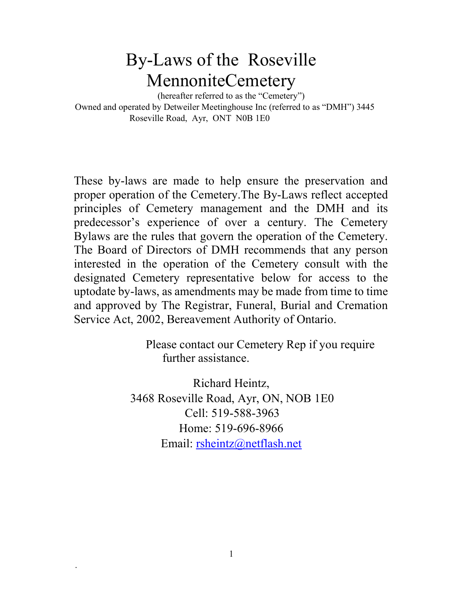# By-Laws of the Roseville MennoniteCemetery

(hereafter referred to as the "Cemetery") Owned and operated by Detweiler Meetinghouse Inc (referred to as "DMH") 3445 Roseville Road, Ayr, ONT N0B 1E0

These by-laws are made to help ensure the preservation and proper operation of the Cemetery.The By-Laws reflect accepted principles of Cemetery management and the DMH and its predecessor's experience of over a century. The Cemetery Bylaws are the rules that govern the operation of the Cemetery. The Board of Directors of DMH recommends that any person interested in the operation of the Cemetery consult with the designated Cemetery representative below for access to the uptodate by-laws, as amendments may be made from time to time and approved by The Registrar, Funeral, Burial and Cremation Service Act, 2002, Bereavement Authority of Ontario.

> Please contact our Cemetery Rep if you require further assistance.

Richard Heintz, 3468 Roseville Road, Ayr, ON, NOB 1E0 Cell: 519-588-3963 Home: 519-696-8966 Email: rsheintz@netflash.net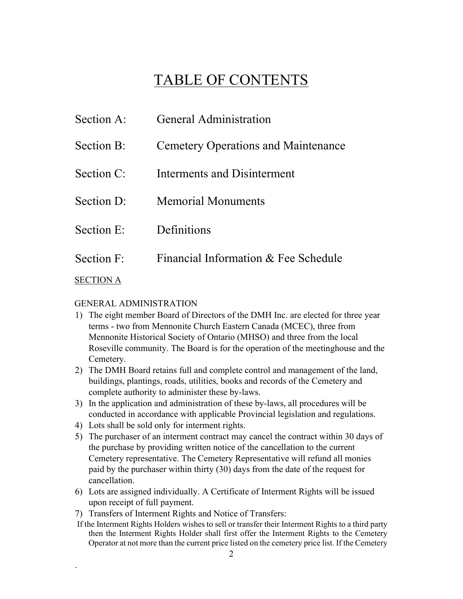## TABLE OF CONTENTS

General Administration

| Section A:       | <b>General Administration</b>              |
|------------------|--------------------------------------------|
| Section B:       | <b>Cemetery Operations and Maintenance</b> |
| Section C:       | Interments and Disinterment                |
| Section D:       | <b>Memorial Monuments</b>                  |
| Section E:       | Definitions                                |
| Section F:       | Financial Information & Fee Schedule       |
| <b>SECTION A</b> |                                            |

#### GENERAL ADMINISTRATION

- 1) The eight member Board of Directors of the DMH Inc. are elected for three year terms - two from Mennonite Church Eastern Canada (MCEC), three from Mennonite Historical Society of Ontario (MHSO) and three from the local Roseville community. The Board is for the operation of the meetinghouse and the Cemetery.
- 2) The DMH Board retains full and complete control and management of the land, buildings, plantings, roads, utilities, books and records of the Cemetery and complete authority to administer these by-laws.
- 3) In the application and administration of these by-laws, all procedures will be conducted in accordance with applicable Provincial legislation and regulations.
- 4) Lots shall be sold only for interment rights.

- 5) The purchaser of an interment contract may cancel the contract within 30 days of the purchase by providing written notice of the cancellation to the current Cemetery representative. The Cemetery Representative will refund all monies paid by the purchaser within thirty (30) days from the date of the request for cancellation.
- 6) Lots are assigned individually. A Certificate of Interment Rights will be issued upon receipt of full payment.
- 7) Transfers of Interment Rights and Notice of Transfers:
- If the Interment Rights Holders wishes to sell or transfer their Interment Rights to a third party then the Interment Rights Holder shall first offer the Interment Rights to the Cemetery Operator at not more than the current price listed on the cemetery price list. If the Cemetery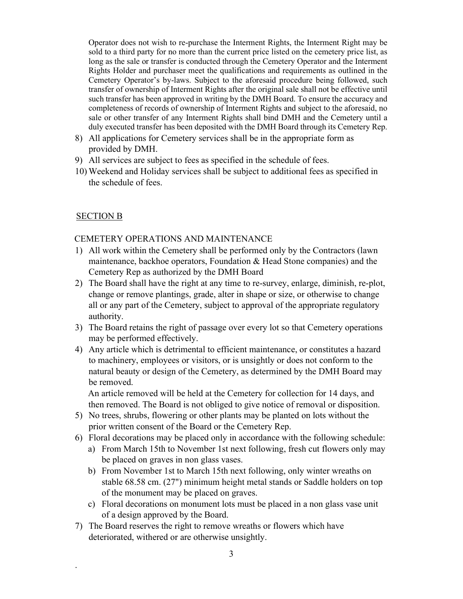Operator does not wish to re-purchase the Interment Rights, the Interment Right may be sold to a third party for no more than the current price listed on the cemetery price list, as long as the sale or transfer is conducted through the Cemetery Operator and the Interment Rights Holder and purchaser meet the qualifications and requirements as outlined in the Cemetery Operator's by-laws. Subject to the aforesaid procedure being followed, such transfer of ownership of Interment Rights after the original sale shall not be effective until such transfer has been approved in writing by the DMH Board. To ensure the accuracy and completeness of records of ownership of Interment Rights and subject to the aforesaid, no sale or other transfer of any Interment Rights shall bind DMH and the Cemetery until a duly executed transfer has been deposited with the DMH Board through its Cemetery Rep.

- 8) All applications for Cemetery services shall be in the appropriate form as provided by DMH.
- 9) All services are subject to fees as specified in the schedule of fees.
- 10) Weekend and Holiday services shall be subject to additional fees as specified in the schedule of fees.

#### SECTION B

.

#### CEMETERY OPERATIONS AND MAINTENANCE

- 1) All work within the Cemetery shall be performed only by the Contractors (lawn maintenance, backhoe operators, Foundation & Head Stone companies) and the Cemetery Rep as authorized by the DMH Board
- 2) The Board shall have the right at any time to re-survey, enlarge, diminish, re-plot, change or remove plantings, grade, alter in shape or size, or otherwise to change all or any part of the Cemetery, subject to approval of the appropriate regulatory authority.
- 3) The Board retains the right of passage over every lot so that Cemetery operations may be performed effectively.
- 4) Any article which is detrimental to efficient maintenance, or constitutes a hazard to machinery, employees or visitors, or is unsightly or does not conform to the natural beauty or design of the Cemetery, as determined by the DMH Board may be removed.

An article removed will be held at the Cemetery for collection for 14 days, and then removed. The Board is not obliged to give notice of removal or disposition.

- 5) No trees, shrubs, flowering or other plants may be planted on lots without the prior written consent of the Board or the Cemetery Rep.
- 6) Floral decorations may be placed only in accordance with the following schedule:
	- a) From March 15th to November 1st next following, fresh cut flowers only may be placed on graves in non glass vases.
	- b) From November 1st to March 15th next following, only winter wreaths on stable 68.58 cm. (27") minimum height metal stands or Saddle holders on top of the monument may be placed on graves.
	- c) Floral decorations on monument lots must be placed in a non glass vase unit of a design approved by the Board.
- 7) The Board reserves the right to remove wreaths or flowers which have deteriorated, withered or are otherwise unsightly.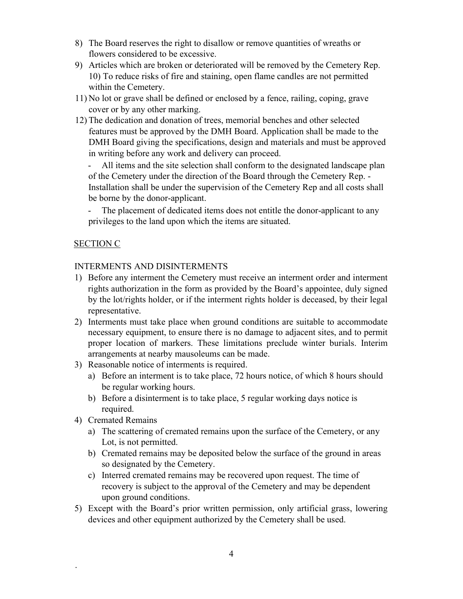- 8) The Board reserves the right to disallow or remove quantities of wreaths or flowers considered to be excessive.
- 9) Articles which are broken or deteriorated will be removed by the Cemetery Rep. 10) To reduce risks of fire and staining, open flame candles are not permitted within the Cemetery.
- 11) No lot or grave shall be defined or enclosed by a fence, railing, coping, grave cover or by any other marking.
- 12) The dedication and donation of trees, memorial benches and other selected features must be approved by the DMH Board. Application shall be made to the DMH Board giving the specifications, design and materials and must be approved in writing before any work and delivery can proceed.

- All items and the site selection shall conform to the designated landscape plan of the Cemetery under the direction of the Board through the Cemetery Rep. - Installation shall be under the supervision of the Cemetery Rep and all costs shall be borne by the donor-applicant.

- The placement of dedicated items does not entitle the donor-applicant to any privileges to the land upon which the items are situated.

#### SECTION C

#### INTERMENTS AND DISINTERMENTS

- 1) Before any interment the Cemetery must receive an interment order and interment rights authorization in the form as provided by the Board's appointee, duly signed by the lot/rights holder, or if the interment rights holder is deceased, by their legal representative.
- 2) Interments must take place when ground conditions are suitable to accommodate necessary equipment, to ensure there is no damage to adjacent sites, and to permit proper location of markers. These limitations preclude winter burials. Interim arrangements at nearby mausoleums can be made.
- 3) Reasonable notice of interments is required.
	- a) Before an interment is to take place, 72 hours notice, of which 8 hours should be regular working hours.
	- b) Before a disinterment is to take place, 5 regular working days notice is required.
- 4) Cremated Remains

- a) The scattering of cremated remains upon the surface of the Cemetery, or any Lot, is not permitted.
- b) Cremated remains may be deposited below the surface of the ground in areas so designated by the Cemetery.
- c) Interred cremated remains may be recovered upon request. The time of recovery is subject to the approval of the Cemetery and may be dependent upon ground conditions.
- 5) Except with the Board's prior written permission, only artificial grass, lowering devices and other equipment authorized by the Cemetery shall be used.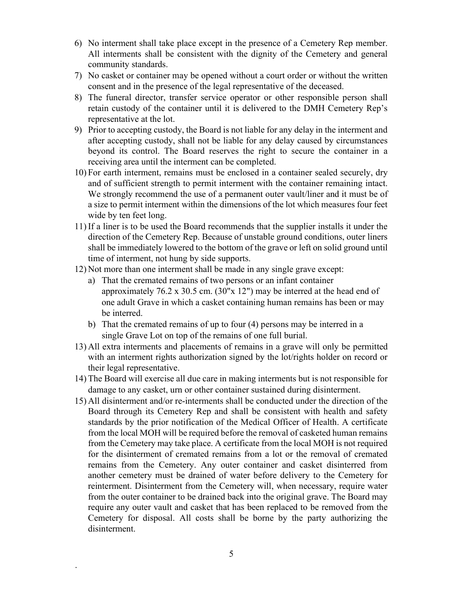- 6) No interment shall take place except in the presence of a Cemetery Rep member. All interments shall be consistent with the dignity of the Cemetery and general community standards.
- 7) No casket or container may be opened without a court order or without the written consent and in the presence of the legal representative of the deceased.
- 8) The funeral director, transfer service operator or other responsible person shall retain custody of the container until it is delivered to the DMH Cemetery Rep's representative at the lot.
- 9) Prior to accepting custody, the Board is not liable for any delay in the interment and after accepting custody, shall not be liable for any delay caused by circumstances beyond its control. The Board reserves the right to secure the container in a receiving area until the interment can be completed.
- 10) For earth interment, remains must be enclosed in a container sealed securely, dry and of sufficient strength to permit interment with the container remaining intact. We strongly recommend the use of a permanent outer vault/liner and it must be of a size to permit interment within the dimensions of the lot which measures four feet wide by ten feet long.
- 11) If a liner is to be used the Board recommends that the supplier installs it under the direction of the Cemetery Rep. Because of unstable ground conditions, outer liners shall be immediately lowered to the bottom of the grave or left on solid ground until time of interment, not hung by side supports.
- 12) Not more than one interment shall be made in any single grave except:
	- a) That the cremated remains of two persons or an infant container approximately 76.2 x 30.5 cm. (30"x 12") may be interred at the head end of one adult Grave in which a casket containing human remains has been or may be interred.
	- b) That the cremated remains of up to four (4) persons may be interred in a single Grave Lot on top of the remains of one full burial.
- 13) All extra interments and placements of remains in a grave will only be permitted with an interment rights authorization signed by the lot/rights holder on record or their legal representative.
- 14) The Board will exercise all due care in making interments but is not responsible for damage to any casket, urn or other container sustained during disinterment.
- 15) All disinterment and/or re-interments shall be conducted under the direction of the Board through its Cemetery Rep and shall be consistent with health and safety standards by the prior notification of the Medical Officer of Health. A certificate from the local MOH will be required before the removal of casketed human remains from the Cemetery may take place. A certificate from the local MOH is not required for the disinterment of cremated remains from a lot or the removal of cremated remains from the Cemetery. Any outer container and casket disinterred from another cemetery must be drained of water before delivery to the Cemetery for reinterment. Disinterment from the Cemetery will, when necessary, require water from the outer container to be drained back into the original grave. The Board may require any outer vault and casket that has been replaced to be removed from the Cemetery for disposal. All costs shall be borne by the party authorizing the disinterment.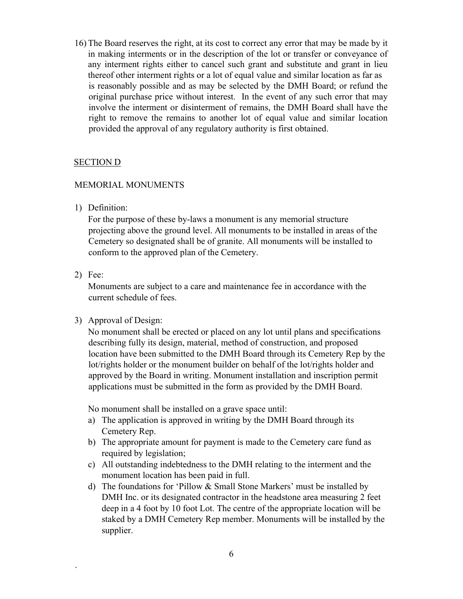16) The Board reserves the right, at its cost to correct any error that may be made by it in making interments or in the description of the lot or transfer or conveyance of any interment rights either to cancel such grant and substitute and grant in lieu thereof other interment rights or a lot of equal value and similar location as far as is reasonably possible and as may be selected by the DMH Board; or refund the original purchase price without interest. In the event of any such error that may involve the interment or disinterment of remains, the DMH Board shall have the right to remove the remains to another lot of equal value and similar location provided the approval of any regulatory authority is first obtained.

#### SECTION D

#### MEMORIAL MONUMENTS

1) Definition:

For the purpose of these by-laws a monument is any memorial structure projecting above the ground level. All monuments to be installed in areas of the Cemetery so designated shall be of granite. All monuments will be installed to conform to the approved plan of the Cemetery.

2) Fee:

.

Monuments are subject to a care and maintenance fee in accordance with the current schedule of fees.

3) Approval of Design:

No monument shall be erected or placed on any lot until plans and specifications describing fully its design, material, method of construction, and proposed location have been submitted to the DMH Board through its Cemetery Rep by the lot/rights holder or the monument builder on behalf of the lot/rights holder and approved by the Board in writing. Monument installation and inscription permit applications must be submitted in the form as provided by the DMH Board.

No monument shall be installed on a grave space until:

- a) The application is approved in writing by the DMH Board through its Cemetery Rep.
- b) The appropriate amount for payment is made to the Cemetery care fund as required by legislation;
- c) All outstanding indebtedness to the DMH relating to the interment and the monument location has been paid in full.
- d) The foundations for 'Pillow & Small Stone Markers' must be installed by DMH Inc. or its designated contractor in the headstone area measuring 2 feet deep in a 4 foot by 10 foot Lot. The centre of the appropriate location will be staked by a DMH Cemetery Rep member. Monuments will be installed by the supplier.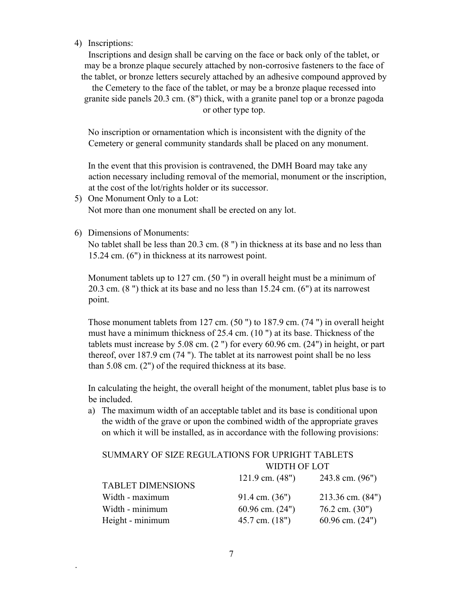4) Inscriptions:

Inscriptions and design shall be carving on the face or back only of the tablet, or may be a bronze plaque securely attached by non-corrosive fasteners to the face of the tablet, or bronze letters securely attached by an adhesive compound approved by

the Cemetery to the face of the tablet, or may be a bronze plaque recessed into granite side panels 20.3 cm. (8") thick, with a granite panel top or a bronze pagoda or other type top.

No inscription or ornamentation which is inconsistent with the dignity of the Cemetery or general community standards shall be placed on any monument.

In the event that this provision is contravened, the DMH Board may take any action necessary including removal of the memorial, monument or the inscription, at the cost of the lot/rights holder or its successor.

- 5) One Monument Only to a Lot: Not more than one monument shall be erected on any lot.
- 6) Dimensions of Monuments:

.

No tablet shall be less than 20.3 cm. (8 ") in thickness at its base and no less than 15.24 cm. (6") in thickness at its narrowest point.

Monument tablets up to 127 cm. (50 ") in overall height must be a minimum of 20.3 cm. (8 ") thick at its base and no less than 15.24 cm. (6") at its narrowest point.

Those monument tablets from 127 cm. (50 ") to 187.9 cm. (74 ") in overall height must have a minimum thickness of 25.4 cm. (10 ") at its base. Thickness of the tablets must increase by 5.08 cm. (2 ") for every 60.96 cm. (24") in height, or part thereof, over 187.9 cm (74 "). The tablet at its narrowest point shall be no less than 5.08 cm. (2") of the required thickness at its base.

In calculating the height, the overall height of the monument, tablet plus base is to be included.

a) The maximum width of an acceptable tablet and its base is conditional upon the width of the grave or upon the combined width of the appropriate graves on which it will be installed, as in accordance with the following provisions:

| SUMMARY OF SIZE REGULATIONS FOR UPRIGHT TABLETS |                   |                   |  |
|-------------------------------------------------|-------------------|-------------------|--|
|                                                 | WIDTH OF LOT      |                   |  |
| TABLET DIMENSIONS                               | 121.9 cm. $(48")$ | 243.8 cm. $(96")$ |  |

| TADLLI DIMLINDIVIND |                     |                     |
|---------------------|---------------------|---------------------|
| Width - maximum     | 91.4 cm. $(36")$    | 213.36 cm. $(84")$  |
| Width - minimum     | $60.96$ cm. $(24")$ | $76.2$ cm. $(30")$  |
| Height - minimum    | $45.7$ cm. $(18")$  | $60.96$ cm. $(24")$ |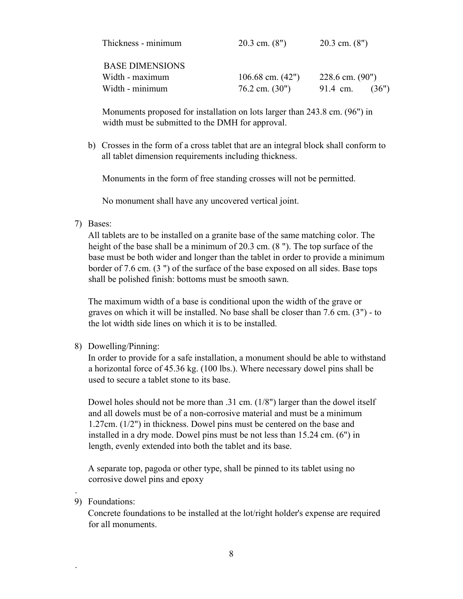| Thickness - minimum    | $20.3$ cm. $(8")$  | $20.3$ cm. $(8")$ |
|------------------------|--------------------|-------------------|
| <b>BASE DIMENSIONS</b> |                    |                   |
| Width - maximum        | 106.68 cm. $(42")$ | 228.6 cm. $(90")$ |
| Width - minimum        | $76.2$ cm. $(30")$ | 91.4 cm.<br>(36") |

Monuments proposed for installation on lots larger than 243.8 cm. (96") in width must be submitted to the DMH for approval.

b) Crosses in the form of a cross tablet that are an integral block shall conform to all tablet dimension requirements including thickness.

Monuments in the form of free standing crosses will not be permitted.

No monument shall have any uncovered vertical joint.

7) Bases:

All tablets are to be installed on a granite base of the same matching color. The height of the base shall be a minimum of 20.3 cm. (8 "). The top surface of the base must be both wider and longer than the tablet in order to provide a minimum border of 7.6 cm. (3 ") of the surface of the base exposed on all sides. Base tops shall be polished finish: bottoms must be smooth sawn.

The maximum width of a base is conditional upon the width of the grave or graves on which it will be installed. No base shall be closer than 7.6 cm. (3") - to the lot width side lines on which it is to be installed.

8) Dowelling/Pinning:

In order to provide for a safe installation, a monument should be able to withstand a horizontal force of 45.36 kg. (100 lbs.). Where necessary dowel pins shall be used to secure a tablet stone to its base.

Dowel holes should not be more than .31 cm. (1/8") larger than the dowel itself and all dowels must be of a non-corrosive material and must be a minimum 1.27cm. (1/2") in thickness. Dowel pins must be centered on the base and installed in a dry mode. Dowel pins must be not less than 15.24 cm. (6") in length, evenly extended into both the tablet and its base.

A separate top, pagoda or other type, shall be pinned to its tablet using no corrosive dowel pins and epoxy

9) Foundations:

.

.

Concrete foundations to be installed at the lot/right holder's expense are required for all monuments.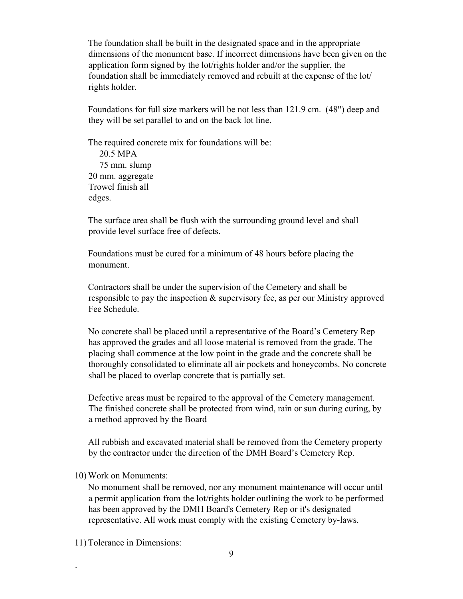The foundation shall be built in the designated space and in the appropriate dimensions of the monument base. If incorrect dimensions have been given on the application form signed by the lot/rights holder and/or the supplier, the foundation shall be immediately removed and rebuilt at the expense of the lot/ rights holder.

Foundations for full size markers will be not less than 121.9 cm. (48") deep and they will be set parallel to and on the back lot line.

The required concrete mix for foundations will be: 20.5 MPA 75 mm. slump 20 mm. aggregate Trowel finish all edges.

The surface area shall be flush with the surrounding ground level and shall provide level surface free of defects.

Foundations must be cured for a minimum of 48 hours before placing the monument.

Contractors shall be under the supervision of the Cemetery and shall be responsible to pay the inspection & supervisory fee, as per our Ministry approved Fee Schedule.

No concrete shall be placed until a representative of the Board's Cemetery Rep has approved the grades and all loose material is removed from the grade. The placing shall commence at the low point in the grade and the concrete shall be thoroughly consolidated to eliminate all air pockets and honeycombs. No concrete shall be placed to overlap concrete that is partially set.

Defective areas must be repaired to the approval of the Cemetery management. The finished concrete shall be protected from wind, rain or sun during curing, by a method approved by the Board

All rubbish and excavated material shall be removed from the Cemetery property by the contractor under the direction of the DMH Board's Cemetery Rep.

10) Work on Monuments:

No monument shall be removed, nor any monument maintenance will occur until a permit application from the lot/rights holder outlining the work to be performed has been approved by the DMH Board's Cemetery Rep or it's designated representative. All work must comply with the existing Cemetery by-laws.

11) Tolerance in Dimensions: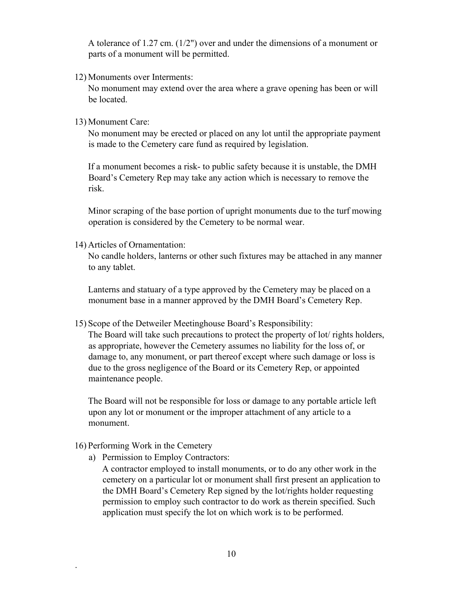A tolerance of 1.27 cm. (1/2") over and under the dimensions of a monument or parts of a monument will be permitted.

12) Monuments over Interments:

No monument may extend over the area where a grave opening has been or will be located.

13) Monument Care:

No monument may be erected or placed on any lot until the appropriate payment is made to the Cemetery care fund as required by legislation.

If a monument becomes a risk- to public safety because it is unstable, the DMH Board's Cemetery Rep may take any action which is necessary to remove the risk.

Minor scraping of the base portion of upright monuments due to the turf mowing operation is considered by the Cemetery to be normal wear.

14) Articles of Ornamentation:

No candle holders, lanterns or other such fixtures may be attached in any manner to any tablet.

Lanterns and statuary of a type approved by the Cemetery may be placed on a monument base in a manner approved by the DMH Board's Cemetery Rep.

15) Scope of the Detweiler Meetinghouse Board's Responsibility:

The Board will take such precautions to protect the property of lot/ rights holders, as appropriate, however the Cemetery assumes no liability for the loss of, or damage to, any monument, or part thereof except where such damage or loss is due to the gross negligence of the Board or its Cemetery Rep, or appointed maintenance people.

The Board will not be responsible for loss or damage to any portable article left upon any lot or monument or the improper attachment of any article to a monument.

16) Performing Work in the Cemetery

.

a) Permission to Employ Contractors:

A contractor employed to install monuments, or to do any other work in the cemetery on a particular lot or monument shall first present an application to the DMH Board's Cemetery Rep signed by the lot/rights holder requesting permission to employ such contractor to do work as therein specified. Such application must specify the lot on which work is to be performed.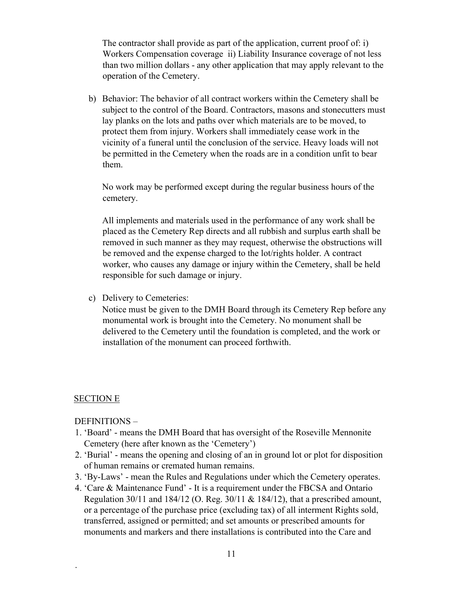The contractor shall provide as part of the application, current proof of: i) Workers Compensation coverage ii) Liability Insurance coverage of not less than two million dollars - any other application that may apply relevant to the operation of the Cemetery.

b) Behavior: The behavior of all contract workers within the Cemetery shall be subject to the control of the Board. Contractors, masons and stonecutters must lay planks on the lots and paths over which materials are to be moved, to protect them from injury. Workers shall immediately cease work in the vicinity of a funeral until the conclusion of the service. Heavy loads will not be permitted in the Cemetery when the roads are in a condition unfit to bear them.

No work may be performed except during the regular business hours of the cemetery.

All implements and materials used in the performance of any work shall be placed as the Cemetery Rep directs and all rubbish and surplus earth shall be removed in such manner as they may request, otherwise the obstructions will be removed and the expense charged to the lot/rights holder. A contract worker, who causes any damage or injury within the Cemetery, shall be held responsible for such damage or injury.

c) Delivery to Cemeteries:

Notice must be given to the DMH Board through its Cemetery Rep before any monumental work is brought into the Cemetery. No monument shall be delivered to the Cemetery until the foundation is completed, and the work or installation of the monument can proceed forthwith.

#### SECTION E

.

DEFINITIONS –

- 1. 'Board' means the DMH Board that has oversight of the Roseville Mennonite Cemetery (here after known as the 'Cemetery')
- 2. 'Burial' means the opening and closing of an in ground lot or plot for disposition of human remains or cremated human remains.
- 3. 'By-Laws' mean the Rules and Regulations under which the Cemetery operates.
- 4. 'Care & Maintenance Fund' It is a requirement under the FBCSA and Ontario Regulation 30/11 and 184/12 (O. Reg. 30/11 & 184/12), that a prescribed amount, or a percentage of the purchase price (excluding tax) of all interment Rights sold, transferred, assigned or permitted; and set amounts or prescribed amounts for monuments and markers and there installations is contributed into the Care and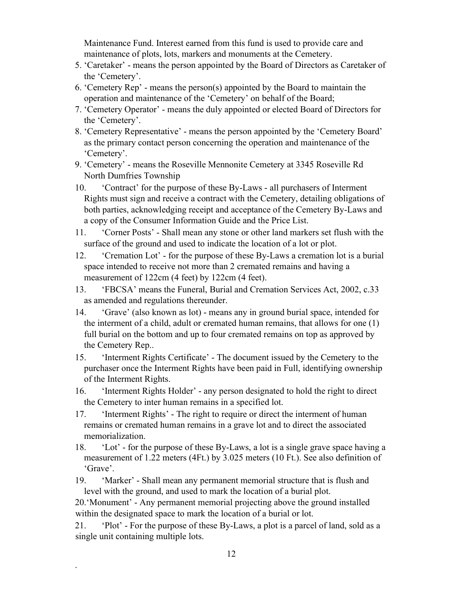Maintenance Fund. Interest earned from this fund is used to provide care and maintenance of plots, lots, markers and monuments at the Cemetery.

- 5. 'Caretaker' means the person appointed by the Board of Directors as Caretaker of the 'Cemetery'.
- 6. 'Cemetery Rep' means the person(s) appointed by the Board to maintain the operation and maintenance of the 'Cemetery' on behalf of the Board;
- 7. 'Cemetery Operator' means the duly appointed or elected Board of Directors for the 'Cemetery'.
- 8. 'Cemetery Representative' means the person appointed by the 'Cemetery Board' as the primary contact person concerning the operation and maintenance of the 'Cemetery'.
- 9. 'Cemetery' means the Roseville Mennonite Cemetery at 3345 Roseville Rd North Dumfries Township
- 10. 'Contract' for the purpose of these By-Laws all purchasers of Interment Rights must sign and receive a contract with the Cemetery, detailing obligations of both parties, acknowledging receipt and acceptance of the Cemetery By-Laws and a copy of the Consumer Information Guide and the Price List.
- 11. 'Corner Posts' Shall mean any stone or other land markers set flush with the surface of the ground and used to indicate the location of a lot or plot.
- 12. 'Cremation Lot' for the purpose of these By-Laws a cremation lot is a burial space intended to receive not more than 2 cremated remains and having a measurement of 122cm (4 feet) by 122cm (4 feet).
- 13. 'FBCSA' means the Funeral, Burial and Cremation Services Act, 2002, c.33 as amended and regulations thereunder.
- 14. 'Grave' (also known as lot) means any in ground burial space, intended for the interment of a child, adult or cremated human remains, that allows for one (1) full burial on the bottom and up to four cremated remains on top as approved by the Cemetery Rep..
- 15. 'Interment Rights Certificate' The document issued by the Cemetery to the purchaser once the Interment Rights have been paid in Full, identifying ownership of the Interment Rights.
- 16. 'Interment Rights Holder' any person designated to hold the right to direct the Cemetery to inter human remains in a specified lot.
- 17. 'Interment Rights' The right to require or direct the interment of human remains or cremated human remains in a grave lot and to direct the associated memorialization.
- 18. 'Lot' for the purpose of these By-Laws, a lot is a single grave space having a measurement of 1.22 meters (4Ft.) by 3.025 meters (10 Ft.). See also definition of 'Grave'.
- 19. 'Marker' Shall mean any permanent memorial structure that is flush and level with the ground, and used to mark the location of a burial plot.

20.'Monument' - Any permanent memorial projecting above the ground installed within the designated space to mark the location of a burial or lot.

21. 'Plot' - For the purpose of these By-Laws, a plot is a parcel of land, sold as a single unit containing multiple lots.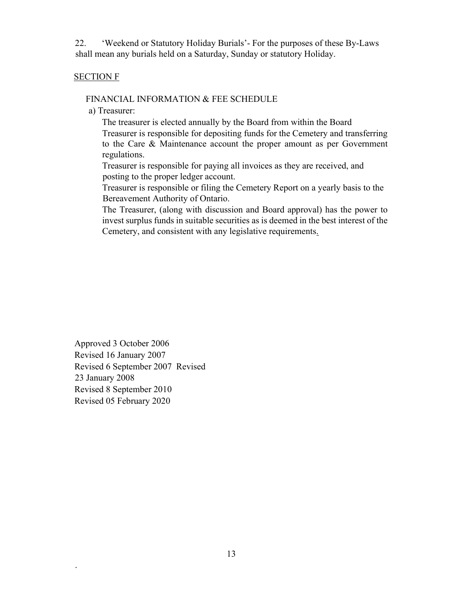22. 'Weekend or Statutory Holiday Burials'- For the purposes of these By-Laws shall mean any burials held on a Saturday, Sunday or statutory Holiday.

#### SECTION F

#### FINANCIAL INFORMATION & FEE SCHEDULE

a) Treasurer:

The treasurer is elected annually by the Board from within the Board Treasurer is responsible for depositing funds for the Cemetery and transferring to the Care & Maintenance account the proper amount as per Government regulations.

Treasurer is responsible for paying all invoices as they are received, and posting to the proper ledger account.

Treasurer is responsible or filing the Cemetery Report on a yearly basis to the Bereavement Authority of Ontario.

The Treasurer, (along with discussion and Board approval) has the power to invest surplus funds in suitable securities as is deemed in the best interest of the Cemetery, and consistent with any legislative requirements.

Approved 3 October 2006 Revised 16 January 2007 Revised 6 September 2007 Revised 23 January 2008 Revised 8 September 2010 Revised 05 February 2020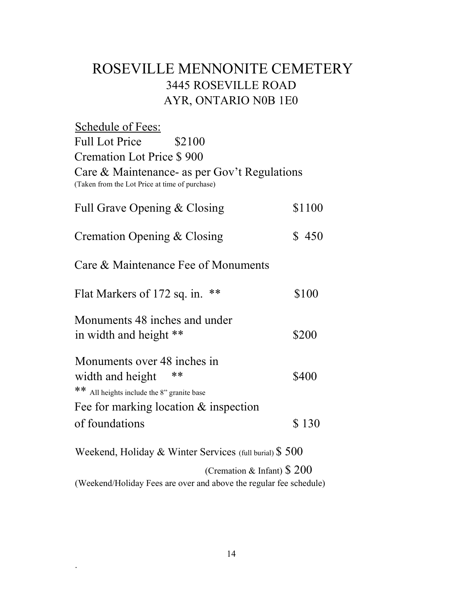### ROSEVILLE MENNONITE CEMETERY 3445 ROSEVILLE ROAD AYR, ONTARIO N0B 1E0

Schedule of Fees: Full Lot Price \$2100 Cremation Lot Price \$ 900 Care & Maintenance- as per Gov't Regulations (Taken from the Lot Price at time of purchase) Full Grave Opening & Closing \$1100 Cremation Opening  $& Closing$   $$ 450$ Care & Maintenance Fee of Monuments Flat Markers of  $172$  sq. in. \*\*  $$100$ Monuments 48 inches and under in width and height \*\* Monuments over 48 inches in \$200 width and height \*\* \$400 \*\* All heights include the 8" granite base Fee for marking location & inspection of foundations \$ 130 Weekend, Holiday & Winter Services (full burial) \$ 500 (Cremation & Infant) \$ 200

(Weekend/Holiday Fees are over and above the regular fee schedule)